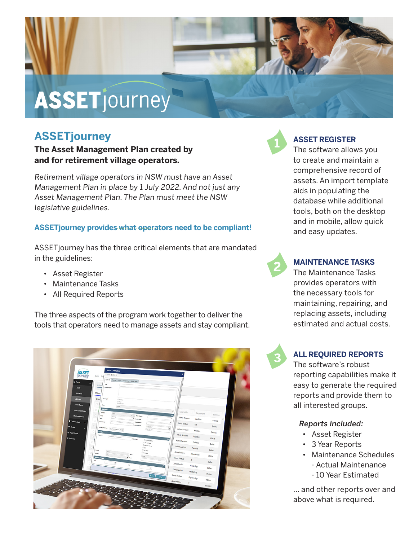# ASSETjourney

# **ASSETjourney**

**The Asset Management Plan created by and for retirement village operators.** 

Retirement village operators in NSW must have an Asset Management Plan in place by 1 July 2022. And not just any Asset Management Plan. The Plan must meet the NSW legislative guidelines.

# **ASSETjourney provides what operators need to be compliant!**

ASSETjourney has the three critical elements that are mandated in the guidelines:

- Asset Register
- Maintenance Tasks
- All Required Reports

The three aspects of the program work together to deliver the tools that operators need to manage assets and stay compliant.





# **ASSET REGISTER**

The software allows you to create and maintain a comprehensive record of assets. An import template aids in populating the database while additional tools, both on the desktop and in mobile, allow quick and easy updates.



# **MAINTENANCE TASKS**

The Maintenance Tasks provides operators with the necessary tools for maintaining, repairing, and replacing assets, including estimated and actual costs.



# **ALL REQUIRED REPORTS**

The software's robust reporting capabilities make it easy to generate the required reports and provide them to all interested groups.

# Reports included:

- Asset Register
- 3 Year Reports
- Maintenance Schedules - Actual Maintenance
	- 10 Year Estimated

... and other reports over and above what is required.